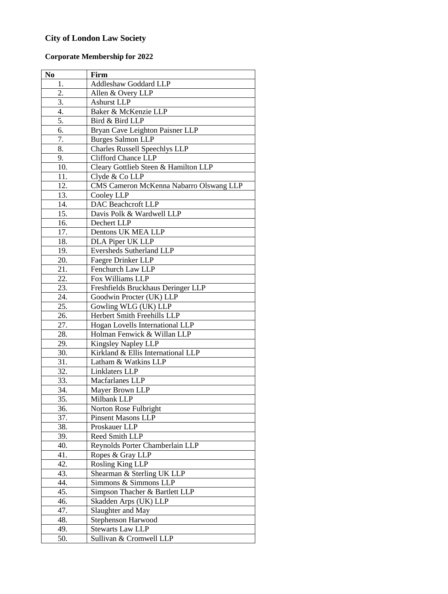## **City of London Law Society**

## **Corporate Membership for 2022**

| No                | Firm                                    |
|-------------------|-----------------------------------------|
| 1.                | <b>Addleshaw Goddard LLP</b>            |
| 2.                | Allen & Overy LLP                       |
| 3.                | <b>Ashurst LLP</b>                      |
| 4.                | Baker & McKenzie LLP                    |
| 5.                | Bird & Bird LLP                         |
| 6.                | Bryan Cave Leighton Paisner LLP         |
| 7.                | <b>Burges Salmon LLP</b>                |
| 8.                | <b>Charles Russell Speechlys LLP</b>    |
| 9.                | <b>Clifford Chance LLP</b>              |
| 10.               | Cleary Gottlieb Steen & Hamilton LLP    |
| 11.               | Clyde & Co LLP                          |
| $\overline{12}$ . | CMS Cameron McKenna Nabarro Olswang LLP |
| 13.               | Cooley LLP                              |
| 14.               | <b>DAC</b> Beachcroft LLP               |
| 15.               | Davis Polk & Wardwell LLP               |
| 16.               | Dechert LLP                             |
| $\overline{17}$ . | Dentons UK MEA LLP                      |
| 18.               | DLA Piper UK LLP                        |
| 19.               | Eversheds Sutherland LLP                |
| 20.               | Faegre Drinker LLP                      |
| 21.               | Fenchurch Law LLP                       |
| 22.               | Fox Williams LLP                        |
| 23.               | Freshfields Bruckhaus Deringer LLP      |
| 24.               | Goodwin Procter (UK) LLP                |
| $\overline{25}$ . | Gowling WLG (UK) LLP                    |
| 26.               | Herbert Smith Freehills LLP             |
| 27.               | Hogan Lovells International LLP         |
| 28.               | Holman Fenwick & Willan LLP             |
| 29.               | Kingsley Napley LLP                     |
| 30.               | Kirkland & Ellis International LLP      |
| 31.               | Latham & Watkins LLP                    |
| 32.               | Linklaters LLP                          |
| 33.               | Macfarlanes LLP                         |
| 34.               | Mayer Brown LLP                         |
| 35.               | Milbank LLP                             |
| 36.               | Norton Rose Fulbright                   |
| 37.               | <b>Pinsent Masons LLP</b>               |
| 38.               | Proskauer LLP                           |
| 39.               | Reed Smith LLP                          |
| 40.               | Reynolds Porter Chamberlain LLP         |
| 41.               | Ropes & Gray LLP                        |
| 42.               | Rosling King LLP                        |
| 43.               | Shearman & Sterling UK LLP              |
| 44.               | Simmons & Simmons LLP                   |
| 45.               | Simpson Thacher & Bartlett LLP          |
| 46.               | Skadden Arps (UK) LLP                   |
| 47.               | Slaughter and May                       |
| 48.               | Stephenson Harwood                      |
| 49.               | <b>Stewarts Law LLP</b>                 |
| 50.               | Sullivan & Cromwell LLP                 |